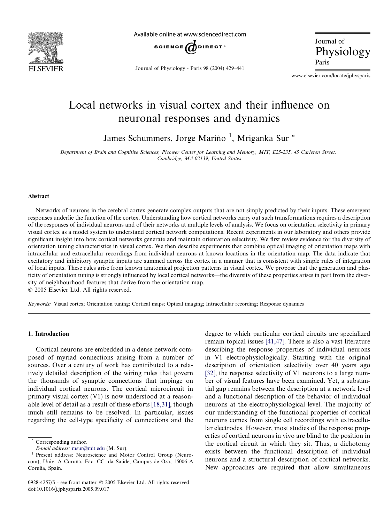

Available online at www.sciencedirect.com



Journal of Physiology - Paris 98 (2004) 429–441

Journal of Physiology

www.elsevier.com/locate/jphysparis

# Local networks in visual cortex and their influence on neuronal responses and dynamics

James Schummers, Jorge Mariño <sup>1</sup>, Mriganka Sur \*

Department of Brain and Cognitive Sciences, Picower Center for Learning and Memory, MIT, E25-235, 45 Carleton Street, Cambridge, MA 02139, United States

#### Abstract

Networks of neurons in the cerebral cortex generate complex outputs that are not simply predicted by their inputs. These emergent responses underlie the function of the cortex. Understanding how cortical networks carry out such transformations requires a description of the responses of individual neurons and of their networks at multiple levels of analysis. We focus on orientation selectivity in primary visual cortex as a model system to understand cortical network computations. Recent experiments in our laboratory and others provide significant insight into how cortical networks generate and maintain orientation selectivity. We first review evidence for the diversity of orientation tuning characteristics in visual cortex. We then describe experiments that combine optical imaging of orientation maps with intracellular and extracellular recordings from individual neurons at known locations in the orientation map. The data indicate that excitatory and inhibitory synaptic inputs are summed across the cortex in a manner that is consistent with simple rules of integration of local inputs. These rules arise from known anatomical projection patterns in visual cortex. We propose that the generation and plasticity of orientation tuning is strongly influenced by local cortical networks—the diversity of these properties arises in part from the diversity of neighbourhood features that derive from the orientation map.

2005 Elsevier Ltd. All rights reserved.

Keywords: Visual cortex; Orientation tuning; Cortical maps; Optical imaging; Intracellular recording; Response dynamics

## 1. Introduction

Cortical neurons are embedded in a dense network composed of myriad connections arising from a number of sources. Over a century of work has contributed to a relatively detailed description of the wiring rules that govern the thousands of synaptic connections that impinge on individual cortical neurons. The cortical microcircuit in primary visual cortex (V1) is now understood at a reasonable level of detail as a result of these efforts [\[18,31\]](#page-11-0), though much still remains to be resolved. In particular, issues regarding the cell-type specificity of connections and the

degree to which particular cortical circuits are specialized remain topical issues [\[41,47\].](#page-11-0) There is also a vast literature describing the response properties of individual neurons in V1 electrophysiologically. Starting with the original description of orientation selectivity over 40 years ago [\[32\],](#page-11-0) the response selectivity of V1 neurons to a large number of visual features have been examined. Yet, a substantial gap remains between the description at a network level and a functional description of the behavior of individual neurons at the electrophysiological level. The majority of our understanding of the functional properties of cortical neurons comes from single cell recordings with extracellular electrodes. However, most studies of the response properties of cortical neurons in vivo are blind to the position in the cortical circuit in which they sit. Thus, a dichotomy exists between the functional description of individual neurons and a structural description of cortical networks. New approaches are required that allow simultaneous

Corresponding author.

E-mail address: [msur@mit.edu](mailto:msur@mit.edu) (M. Sur).<br>Present address: Neuroscience and Motor Control Group (Neurocom), Univ. A Coruña, Fac. CC. da Saúde, Campus de Oza, 15006 A Coruña, Spain.

<sup>0928-4257/\$ -</sup> see front matter © 2005 Elsevier Ltd. All rights reserved. doi:10.1016/j.jphysparis.2005.09.017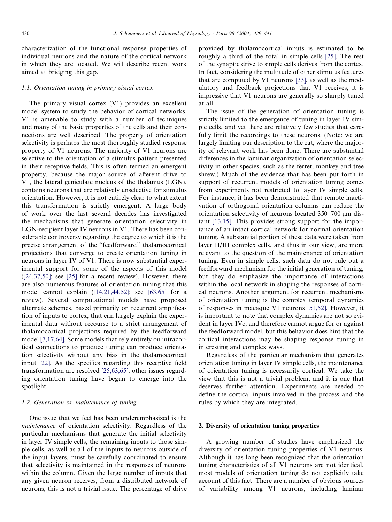characterization of the functional response properties of individual neurons and the nature of the cortical network in which they are located. We will describe recent work aimed at bridging this gap.

## 1.1. Orientation tuning in primary visual cortex

The primary visual cortex (V1) provides an excellent model system to study the behavior of cortical networks. V1 is amenable to study with a number of techniques and many of the basic properties of the cells and their connections are well described. The property of orientation selectivity is perhaps the most thoroughly studied response property of V1 neurons. The majority of V1 neurons are selective to the orientation of a stimulus pattern presented in their receptive fields. This is often termed an emergent property, because the major source of afferent drive to V1, the lateral geniculate nucleus of the thalamus (LGN), contains neurons that are relatively unselective for stimulus orientation. However, it is not entirely clear to what extent this transformation is strictly emergent. A large body of work over the last several decades has investigated the mechanisms that generate orientation selectivity in LGN-recipient layer IV neurons in V1. There has been considerable controversy regarding the degree to which it is the precise arrangement of the ''feedforward'' thalamocortical projections that converge to create orientation tuning in neurons in layer IV of V1. There is now substantial experimental support for some of the aspects of this model  $(24,37,50)$ ; see [\[25\]](#page-11-0) for a recent review). However, there are also numerous features of orientation tuning that this model cannot explain [\(\[14,21,44,52\];](#page-11-0) see [\[63,65\]](#page-12-0) for a review). Several computational models have proposed alternate schemes, based primarily on recurrent amplification of inputs to cortex, that can largely explain the experimental data without recourse to a strict arrangement of thalamocortical projections required by the feedforward model [\[7,17,64\]](#page-11-0). Some models that rely entirely on intracortical connections to produce tuning can produce orientation selectivity without any bias in the thalamocortical input [\[22\].](#page-11-0) As the specifics regarding this receptive field transformation are resolved [\[25,63,65\],](#page-11-0) other issues regarding orientation tuning have begun to emerge into the spotlight.

## 1.2. Generation vs. maintenance of tuning

One issue that we feel has been underemphasized is the maintenance of orientation selectivity. Regardless of the particular mechanisms that generate the initial selectivity in layer IV simple cells, the remaining inputs to those simple cells, as well as all of the inputs to neurons outside of the input layers, must be carefully coordinated to ensure that selectivity is maintained in the responses of neurons within the column. Given the large number of inputs that any given neuron receives, from a distributed network of neurons, this is not a trivial issue. The percentage of drive

provided by thalamocortical inputs is estimated to be roughly a third of the total in simple cells [\[25\].](#page-11-0) The rest of the synaptic drive to simple cells derives from the cortex. In fact, considering the multitude of other stimulus features that are computed by V1 neurons [\[33\],](#page-11-0) as well as the modulatory and feedback projections that V1 receives, it is impressive that V1 neurons are generally so sharply tuned at all.

The issue of the generation of orientation tuning is strictly limited to the emergence of tuning in layer IV simple cells, and yet there are relatively few studies that carefully limit the recordings to these neurons. (Note: we are largely limiting our description to the cat, where the majority of relevant work has been done. There are substantial differences in the laminar organization of orientation selectivity in other species, such as the ferret, monkey and tree shrew.) Much of the evidence that has been put forth in support of recurrent models of orientation tuning comes from experiments not restricted to layer IV simple cells. For instance, it has been demonstrated that remote inactivation of orthogonal orientation columns can reduce the orientation selectivity of neurons located 350–700  $\mu$ m distant [\[13,15\]](#page-11-0). This provides strong support for the importance of an intact cortical network for normal orientation tuning. A substantial portion of these data were taken from layer II/III complex cells, and thus in our view, are more relevant to the question of the maintenance of orientation tuning. Even in simple cells, such data do not rule out a feedforward mechanism for the initial generation of tuning, but they do emphasize the importance of interactions within the local network in shaping the responses of cortical neurons. Another argument for recurrent mechanisms of orientation tuning is the complex temporal dynamics of responses in macaque V1 neurons [\[51,52\]](#page-12-0). However, it is important to note that complex dynamics are not so evident in layer IVc, and therefore cannot argue for or against the feedforward model, but this behavior does hint that the cortical interactions may be shaping response tuning in interesting and complex ways.

Regardless of the particular mechanism that generates orientation tuning in layer IV simple cells, the maintenance of orientation tuning is necessarily cortical. We take the view that this is not a trivial problem, and it is one that deserves further attention. Experiments are needed to define the cortical inputs involved in the process and the rules by which they are integrated.

#### 2. Diversity of orientation tuning properties

A growing number of studies have emphasized the diversity of orientation tuning properties of V1 neurons. Although it has long been recognized that the orientation tuning characteristics of all V1 neurons are not identical, most models of orientation tuning do not explicitly take account of this fact. There are a number of obvious sources of variability among V1 neurons, including laminar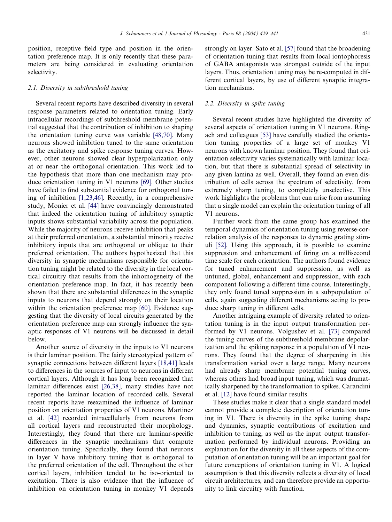position, receptive field type and position in the orientation preference map. It is only recently that these parameters are being considered in evaluating orientation selectivity.

## 2.1. Diversity in subthreshold tuning

Several recent reports have described diversity in several response parameters related to orientation tuning. Early intracellular recordings of subthreshold membrane potential suggested that the contribution of inhibition to shaping the orientation tuning curve was variable [\[48,70\].](#page-11-0) Many neurons showed inhibition tuned to the same orientation as the excitatory and spike response tuning curves. However, other neurons showed clear hyperpolarization only at or near the orthogonal orientation. This work led to the hypothesis that more than one mechanism may produce orientation tuning in V1 neurons [\[69\]](#page-12-0). Other studies have failed to find substantial evidence for orthogonal tuning of inhibition [\[1,23,46\].](#page-10-0) Recently, in a comprehensive study, Monier et al. [\[44\]](#page-11-0) have convincingly demonstrated that indeed the orientation tuning of inhibitory synaptic inputs shows substantial variability across the population. While the majority of neurons receive inhibition that peaks at their preferred orientation, a substantial minority receive inhibitory inputs that are orthogonal or oblique to their preferred orientation. The authors hypothesized that this diversity in synaptic mechanisms responsible for orientation tuning might be related to the diversity in the local cortical circuitry that results from the inhomogeneity of the orientation preference map. In fact, it has recently been shown that there are substantial differences in the synaptic inputs to neurons that depend strongly on their location within the orientation preference map [\[60\]](#page-12-0). Evidence suggesting that the diversity of local circuits generated by the orientation preference map can strongly influence the synaptic responses of V1 neurons will be discussed in detail below.

Another source of diversity in the inputs to V1 neurons is their laminar position. The fairly stereotypical pattern of synaptic connections between different layers [\[18,41\]](#page-11-0) leads to differences in the sources of input to neurons in different cortical layers. Although it has long been recognized that laminar differences exist [\[26,38\],](#page-11-0) many studies have not reported the laminar location of recorded cells. Several recent reports have reexamined the influence of laminar position on orientation properties of V1 neurons. Martinez et al. [\[42\]](#page-11-0) recorded intracellularly from neurons from all cortical layers and reconstructed their morphology. Interestingly, they found that there are laminar-specific differences in the synaptic mechanisms that compute orientation tuning. Specifically, they found that neurons in layer V have inhibitory tuning that is orthogonal to the preferred orientation of the cell. Throughout the other cortical layers, inhibition tended to be iso-oriented to excitation. There is also evidence that the influence of inhibition on orientation tuning in monkey V1 depends

strongly on layer. Sato et al. [\[57\]](#page-12-0) found that the broadening of orientation tuning that results from local iontophoresis of GABA antagonists was strongest outside of the input layers. Thus, orientation tuning may be re-computed in different cortical layers, by use of different synaptic integration mechanisms.

#### 2.2. Diversity in spike tuning

Several recent studies have highlighted the diversity of several aspects of orientation tuning in V1 neurons. Ringach and colleagues [\[53\]](#page-12-0) have carefully studied the orientation tuning properties of a large set of monkey V1 neurons with known laminar position. They found that orientation selectivity varies systematically with laminar location, but that there is substantial spread of selectivity in any given lamina as well. Overall, they found an even distribution of cells across the spectrum of selectivity, from extremely sharp tuning, to completely unselective. This work highlights the problems that can arise from assuming that a single model can explain the orientation tuning of all V1 neurons.

Further work from the same group has examined the temporal dynamics of orientation tuning using reverse-correlation analysis of the responses to dynamic grating stimuli [\[52\]](#page-12-0). Using this approach, it is possible to examine suppression and enhancement of firing on a millisecond time scale for each orientation. The authors found evidence for tuned enhancement and suppression, as well as untuned, global, enhancement and suppression, with each component following a different time course. Interestingly, they only found tuned suppression in a subpopulation of cells, again suggesting different mechanisms acting to produce sharp tuning in different cells.

Another intriguing example of diversity related to orientation tuning is in the input–output transformation performed by V1 neurons. Volgushev et al. [\[73\]](#page-12-0) compared the tuning curves of the subthreshold membrane depolarization and the spiking response in a population of V1 neurons. They found that the degree of sharpening in this transformation varied over a large range. Many neurons had already sharp membrane potential tuning curves, whereas others had broad input tuning, which was dramatically sharpened by the transformation to spikes. Carandini et al. [\[12\]](#page-11-0) have found similar results.

These studies make it clear that a single standard model cannot provide a complete description of orientation tuning in V1. There is diversity in the spike tuning shape and dynamics, synaptic contributions of excitation and inhibition to tuning, as well as the input–output transformation performed by individual neurons. Providing an explanation for the diversity in all these aspects of the computation of orientation tuning will be an important goal for future conceptions of orientation tuning in V1. A logical assumption is that this diversity reflects a diversity of local circuit architectures, and can therefore provide an opportunity to link circuitry with function.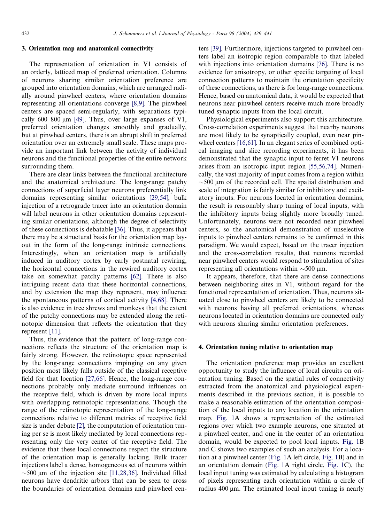## 3. Orientation map and anatomical connectivity

The representation of orientation in V1 consists of an orderly, latticed map of preferred orientation. Columns of neurons sharing similar orientation preference are grouped into orientation domains, which are arranged radially around pinwheel centers, where orientation domains representing all orientations converge [\[8,9\].](#page-11-0) The pinwheel centers are spaced semi-regularly, with separations typically  $600-800 \mu m$  [\[49\]](#page-11-0). Thus, over large expanses of V1, preferred orientation changes smoothly and gradually, but at pinwheel centers, there is an abrupt shift in preferred orientation over an extremely small scale. These maps provide an important link between the activity of individual neurons and the functional properties of the entire network surrounding them.

There are clear links between the functional architecture and the anatomical architecture. The long-range patchy connections of superficial layer neurons preferentially link domains representing similar orientations [\[29,54\]](#page-11-0); bulk injection of a retrograde tracer into an orientation domain will label neurons in other orientation domains representing similar orientations, although the degree of selectivity of these connections is debatable [\[36\].](#page-11-0) Thus, it appears that there may be a structural basis for the orientation map layout in the form of the long-range intrinsic connections. Interestingly, when an orientation map is artificially induced in auditory cortex by early postnatal rewiring, the horizontal connections in the rewired auditory cortex take on somewhat patchy patterns [\[62\]](#page-12-0). There is also intriguing recent data that these horizontal connections, and by extension the map they represent, may influence the spontaneous patterns of cortical activity [\[4,68\]](#page-11-0). There is also evidence in tree shrews and monkeys that the extent of the patchy connections may be extended along the retinotopic dimension that reflects the orientation that they represent [\[11\]](#page-11-0).

Thus, the evidence that the pattern of long-range connections reflects the structure of the orientation map is fairly strong. However, the retinotopic space represented by the long-range connections impinging on any given position most likely falls outside of the classical receptive field for that location [\[27,66\].](#page-11-0) Hence, the long-range connections probably only mediate surround influences on the receptive field, which is driven by more local inputs with overlapping retinotopic representations. Though the range of the retinotopic representation of the long-range connections relative to different metrics of receptive field size is under debate [\[2\]](#page-11-0), the computation of orientation tuning per se is most likely mediated by local connections representing only the very center of the receptive field. The evidence that these local connections respect the structure of the orientation map is generally lacking. Bulk tracer injections label a dense, homogeneous set of neurons within  $\sim$ 500 µm of the injection site [\[11,28,36\]](#page-11-0). Individual filled neurons have dendritic arbors that can be seen to cross the boundaries of orientation domains and pinwheel centers [\[39\]](#page-11-0). Furthermore, injections targeted to pinwheel centers label an isotropic region comparable to that labeled with injections into orientation domains [\[76\]](#page-12-0). There is no evidence for anisotropy, or other specific targeting of local connection patterns to maintain the orientation specificity of these connections, as there is for long-range connections. Hence, based on anatomical data, it would be expected that neurons near pinwheel centers receive much more broadly tuned synaptic inputs from the local circuit.

Physiological experiments also support this architecture. Cross-correlation experiments suggest that nearby neurons are most likely to be synaptically coupled, even near pinwheel centers [\[16,61\].](#page-11-0) In an elegant series of combined optical imaging and slice recording experiments, it has been demonstrated that the synaptic input to ferret V1 neurons arises from an isotropic input region [\[55,56,74\].](#page-12-0) Numerically, the vast majority of input comes from a region within  $\sim$ 500 µm of the recorded cell. The spatial distribution and scale of integration is fairly similar for inhibitory and excitatory inputs. For neurons located in orientation domains, the result is reasonably sharp tuning of local inputs, with the inhibitory inputs being slightly more broadly tuned. Unfortunately, neurons were not recorded near pinwheel centers, so the anatomical demonstration of unselective inputs to pinwheel centers remains to be confirmed in this paradigm. We would expect, based on the tracer injection and the cross-correlation results, that neurons recorded near pinwheel centers would respond to stimulation of sites representing all orientations within  $\sim$ 500  $\mu$ m.

It appears, therefore, that there are dense connections between neighboring sites in V1, without regard for the functional representation of orientation. Thus, neurons situated close to pinwheel centers are likely to be connected with neurons having all preferred orientations, whereas neurons located in orientation domains are connected only with neurons sharing similar orientation preferences.

#### 4. Orientation tuning relative to orientation map

The orientation preference map provides an excellent opportunity to study the influence of local circuits on orientation tuning. Based on the spatial rules of connectivity extracted from the anatomical and physiological experiments described in the previous section, it is possible to make a reasonable estimation of the orientation composition of the local inputs to any location in the orientation map. [Fig. 1](#page-4-0)A shows a representation of the estimated regions over which two example neurons, one situated at a pinwheel center, and one in the center of an orientation domain, would be expected to pool local inputs. [Fig. 1](#page-4-0)B and C shows two examples of such an analysis. For a location at a pinwheel center [\(Fig. 1A](#page-4-0) left circle, [Fig. 1B](#page-4-0)) and in an orientation domain ([Fig. 1](#page-4-0)A right circle, [Fig. 1C](#page-4-0)), the local input tuning was estimated by calculating a histogram of pixels representing each orientation within a circle of radius  $400 \mu m$ . The estimated local input tuning is nearly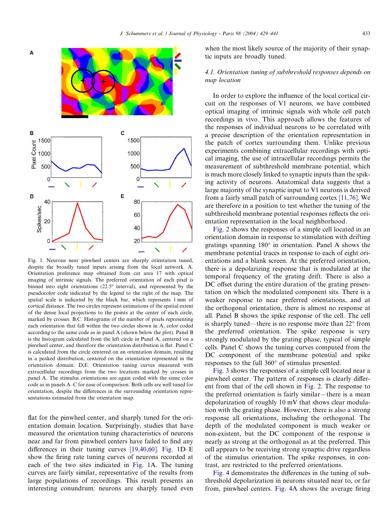<span id="page-4-0"></span>

Fig. 1. Neurons near pinwheel centers are sharply orientation tuned, despite the broadly tuned inputs arising from the local network. A. Orientation preference map obtained from cat area 17 with optical imaging of intrinsic signals. The preferred orientation of each pixel is binned into eight orientations  $(22.5^{\circ}$  interval), and represented by the pseudocolor code indicated by the legend to the right of the map. The spatial scale is indicated by the black bar, which represents 1 mm of cortical distance. The two circles represent estimations of the spatial extent of the dense local projections to the points at the center of each circle, marked by crosses. B,C. Histograms of the number of pixels representing each orientation that fall within the two circles shown in A, color coded according to the same code as in panel A (shown below the plot). Panel B is the histogram calculated from the left circle in Panel A, centered on a pinwheel center, and therefore the orientation distribution is flat. Panel C is calculated from the circle centered on an orientation domain, resulting in a peaked distribution, centered on the orientation represented in the orientation domain. D,E. Orientation tuning curves measured with extracellular recordings from the two locations marked by crosses in panel A. The stimulus orientations are again coded with the same color code as in panels A–C for ease of comparison. Both cells are well tuned for orientation, despite the differences in the surrounding orientation representations estimated from the orientation map.

flat for the pinwheel center, and sharply tuned for the orientation domain location. Surprisingly, studies that have measured the orientation tuning characteristics of neurons near and far from pinwheel centers have failed to find any differences in their tuning curves [\[19,40,60\].](#page-11-0) Fig. 1D–E show the firing rate tuning curves of neurons recorded at each of the two sites indicated in Fig. 1A. The tuning curves are fairly similar, representative of the results from large populations of recordings. This result presents an interesting conundrum: neurons are sharply tuned even

when the most likely source of the majority of their synaptic inputs are broadly tuned.

## 4.1. Orientation tuning of subthreshold responses depends on map location

In order to explore the influence of the local cortical circuit on the responses of V1 neurons, we have combined optical imaging of intrinsic signals with whole cell patch recordings in vivo. This approach allows the features of the responses of individual neurons to be correlated with a precise description of the orientation representation in the patch of cortex surrounding them. Unlike previous experiments combining extracellular recordings with optical imaging, the use of intracellular recordings permits the measurement of subthreshold membrane potential, which is much more closely linked to synaptic inputs than the spiking activity of neurons. Anatomical data suggests that a large majority of the synaptic input to V1 neurons is derived from a fairly small patch of surrounding cortex [\[11,76\].](#page-11-0) We are therefore in a position to test whether the tuning of the subthreshold membrane potential responses reflects the orientation representation in the local neighborhood.

[Fig. 2](#page-5-0) shows the responses of a simple cell located in an orientation domain in response to stimulation with drifting gratings spanning  $180^\circ$  in orientation. Panel A shows the membrane potential traces in response to each of eight orientations and a blank screen. At the preferred orientation, there is a depolarizing response that is modulated at the temporal frequency of the grating drift. There is also a DC offset during the entire duration of the grating presentation on which the modulated component sits. There is a weaker response to near preferred orientations, and at the orthogonal orientation, there is almost no response at all. Panel B shows the spike response of the cell. The cell is sharply tuned—there is no response more than  $22^{\circ}$  from the preferred orientation. The spike response is very strongly modulated by the grating phase, typical of simple cells. Panel C shows the tuning curves computed from the DC component of the membrane potential and spike responses to the full  $360^{\circ}$  of stimulus presented.

[Fig. 3](#page-6-0) shows the responses of a simple cell located near a pinwheel center. The pattern of responses is clearly different from that of the cell shown in [Fig. 2](#page-5-0). The response to the preferred orientation is fairly similar—there is a mean depolarization of roughly 10 mV that shows clear modulation with the grating phase. However, there is also a strong response all orientations, including the orthogonal. The depth of the modulated component is much weaker or non-existent, but the DC component of the response is nearly as strong at the orthogonal as at the preferred. This cell appears to be receiving strong synaptic drive regardless of the stimulus orientation. The spike responses, in contrast, are restricted to the preferred orientations.

[Fig. 4](#page-6-0) demonstrates the differences in the tuning of subthreshold depolarization in neurons situated near to, or far from, pinwheel centers. [Fig. 4](#page-6-0)A shows the average firing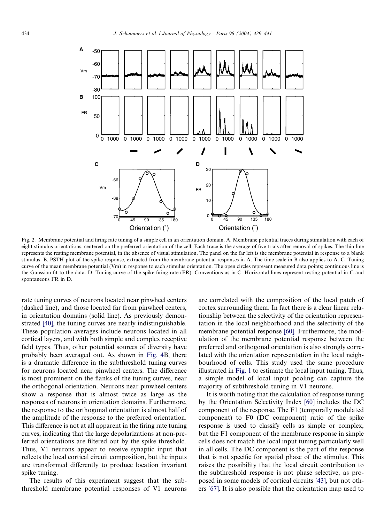<span id="page-5-0"></span>

Fig. 2. Membrane potential and firing rate tuning of a simple cell in an orientation domain. A. Membrane potential traces during stimulation with each of eight stimulus orientations, centered on the preferred orientation of the cell. Each trace is the average of five trials after removal of spikes. The thin line represents the resting membrane potential, in the absence of visual stimulation. The panel on the far left is the membrane potential in response to a blank stimulus. B. PSTH plot of the spike response, extracted from the membrane potential responses in A. The time scale in B also applies to A. C. Tuning curve of the mean membrane potential (Vm) in response to each stimulus orientation. The open circles represent measured data points; continuous line is the Gaussian fit to the data. D. Tuning curve of the spike firing rate (FR). Conventions as in C. Horizontal lines represent resting potential in C and spontaneous FR in D.

rate tuning curves of neurons located near pinwheel centers (dashed line), and those located far from pinwheel centers, in orientation domains (solid line). As previously demonstrated [\[40\]](#page-11-0), the tuning curves are nearly indistinguishable. These population averages include neurons located in all cortical layers, and with both simple and complex receptive field types. Thus, other potential sources of diversity have probably been averaged out. As shown in [Fig. 4B](#page-6-0), there is a dramatic difference in the subthreshold tuning curves for neurons located near pinwheel centers. The difference is most prominent on the flanks of the tuning curves, near the orthogonal orientation. Neurons near pinwheel centers show a response that is almost twice as large as the responses of neurons in orientation domains. Furthermore, the response to the orthogonal orientation is almost half of the amplitude of the response to the preferred orientation. This difference is not at all apparent in the firing rate tuning curves, indicating that the large depolarizations at non-preferred orientations are filtered out by the spike threshold. Thus, V1 neurons appear to receive synaptic input that reflects the local cortical circuit composition, but the inputs are transformed differently to produce location invariant spike tuning.

The results of this experiment suggest that the subthreshold membrane potential responses of V1 neurons are correlated with the composition of the local patch of cortex surrounding them. In fact there is a clear linear relationship between the selectivity of the orientation representation in the local neighborhood and the selectivity of the membrane potential response [\[60\].](#page-12-0) Furthermore, the modulation of the membrane potential response between the preferred and orthogonal orientation is also strongly correlated with the orientation representation in the local neighbourhood of cells. This study used the same procedure illustrated in [Fig. 1](#page-4-0) to estimate the local input tuning. Thus, a simple model of local input pooling can capture the majority of subthreshold tuning in V1 neurons.

It is worth noting that the calculation of response tuning by the Orientation Selectivity Index [\[60\]](#page-12-0) includes the DC component of the response. The F1 (temporally modulated component) to F0 (DC component) ratio of the spike response is used to classify cells as simple or complex, but the F1 component of the membrane response in simple cells does not match the local input tuning particularly well in all cells. The DC component is the part of the response that is not specific for spatial phase of the stimulus. This raises the possibility that the local circuit contribution to the subthreshold response is not phase selective, as proposed in some models of cortical circuits [\[43\],](#page-11-0) but not others [\[67\]](#page-12-0). It is also possible that the orientation map used to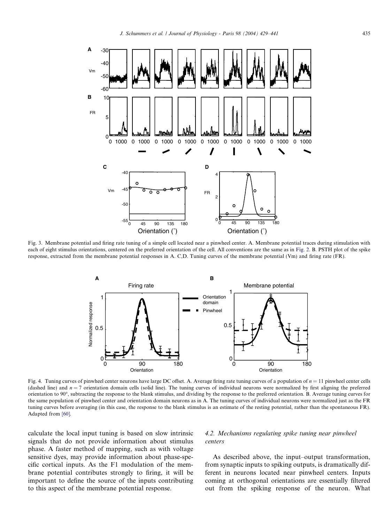<span id="page-6-0"></span>

Fig. 3. Membrane potential and firing rate tuning of a simple cell located near a pinwheel center. A. Membrane potential traces during stimulation with each of eight stimulus orientations, centered on the preferred orientation of the cell. All conventions are the same as in [Fig. 2](#page-5-0). B. PSTH plot of the spike response, extracted from the membrane potential responses in A. C,D. Tuning curves of the membrane potential (Vm) and firing rate (FR).



Fig. 4. Tuning curves of pinwheel center neurons have large DC offset. A. Average firing rate tuning curves of a population of  $n = 11$  pinwheel center cells (dashed line) and  $n = 7$  orientation domain cells (solid line). The tuning curves of individual neurons were normalized by first aligning the preferred orientation to  $90^{\circ}$ , subtracting the response to the blank stimulus, and dividing by the response to the preferred orientation. B. Average tuning curves for the same population of pinwheel center and orientation domain neurons as in A. The tuning curves of individual neurons were normalized just as the FR tuning curves before averaging (in this case, the response to the blank stimulus is an estimate of the resting potential, rather than the spontaneous FR). Adapted from [\[60\]](#page-12-0).

calculate the local input tuning is based on slow intrinsic signals that do not provide information about stimulus phase. A faster method of mapping, such as with voltage sensitive dyes, may provide information about phase-specific cortical inputs. As the F1 modulation of the membrane potential contributes strongly to firing, it will be important to define the source of the inputs contributing to this aspect of the membrane potential response.

## 4.2. Mechanisms regulating spike tuning near pinwheel centers

As described above, the input–output transformation, from synaptic inputs to spiking outputs, is dramatically different in neurons located near pinwheel centers. Inputs coming at orthogonal orientations are essentially filtered out from the spiking response of the neuron. What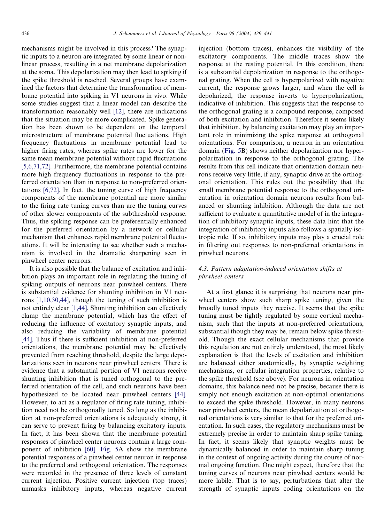mechanisms might be involved in this process? The synaptic inputs to a neuron are integrated by some linear or nonlinear process, resulting in a net membrane depolarization at the soma. This depolarization may then lead to spiking if the spike threshold is reached. Several groups have examined the factors that determine the transformation of membrane potential into spiking in V1 neurons in vivo. While some studies suggest that a linear model can describe the transformation reasonably well [\[12\],](#page-11-0) there are indications that the situation may be more complicated. Spike generation has been shown to be dependent on the temporal microstructure of membrane potential fluctuations. High frequency fluctuations in membrane potential lead to higher firing rates, whereas spike rates are lower for the same mean membrane potential without rapid fluctuations [\[5,6,71,72\]](#page-11-0). Furthermore, the membrane potential contains more high frequency fluctuations in response to the preferred orientation than in response to non-preferred orientations [\[6,72\].](#page-11-0) In fact, the tuning curve of high frequency components of the membrane potential are more similar to the firing rate tuning curves than are the tuning curves of other slower components of the subthreshold response. Thus, the spiking response can be preferentially enhanced for the preferred orientation by a network or cellular mechanism that enhances rapid membrane potential fluctuations. It will be interesting to see whether such a mechanism is involved in the dramatic sharpening seen in pinwheel center neurons.

It is also possible that the balance of excitation and inhibition plays an important role in regulating the tuning of spiking outputs of neurons near pinwheel centers. There is substantial evidence for shunting inhibition in V1 neurons [\[1,10,30,44\]](#page-10-0), though the tuning of such inhibition is not entirely clear [\[1,44\].](#page-10-0) Shunting inhibition can effectively clamp the membrane potential, which has the effect of reducing the influence of excitatory synaptic inputs, and also reducing the variability of membrane potential [\[44\]](#page-11-0). Thus if there is sufficient inhibition at non-preferred orientations, the membrane potential may be effectively prevented from reaching threshold, despite the large depolarizations seen in neurons near pinwheel centers. There is evidence that a substantial portion of V1 neurons receive shunting inhibition that is tuned orthogonal to the preferred orientation of the cell, and such neurons have been hypothesized to be located near pinwheel centers [\[44\]](#page-11-0). However, to act as a regulator of firing rate tuning, inhibition need not be orthogonally tuned. So long as the inhibition at non-preferred orientations is adequately strong, it can serve to prevent firing by balancing excitatory inputs. In fact, it has been shown that the membrane potential responses of pinwheel center neurons contain a large component of inhibition [\[60\]](#page-12-0). [Fig. 5A](#page-8-0) show the membrane potential responses of a pinwheel center neuron in response to the preferred and orthogonal orientation. The responses were recorded in the presence of three levels of constant current injection. Positive current injection (top traces) unmasks inhibitory inputs, whereas negative current

injection (bottom traces), enhances the visibility of the excitatory components. The middle traces show the response at the resting potential. In this condition, there is a substantial depolarization in response to the orthogonal grating. When the cell is hyperpolarized with negative current, the response grows larger, and when the cell is depolarized, the response inverts to hyperpolarization, indicative of inhibition. This suggests that the response to the orthogonal grating is a compound response, composed of both excitation and inhibition. Therefore it seems likely that inhibition, by balancing excitation may play an important role in minimizing the spike response at orthogonal orientations. For comparison, a neuron in an orientation domain ([Fig. 5](#page-8-0)B) shows neither depolarization nor hyperpolarization in response to the orthogonal grating. The results from this cell indicate that orientation domain neurons receive very little, if any, synaptic drive at the orthogonal orientation. This rules out the possibility that the small membrane potential response to the orthogonal orientation in orientation domain neurons results from balanced or shunting inhibition. Although the data are not sufficient to evaluate a quantitative model of in the integration of inhibitory synaptic inputs, these data hint that the integration of inhibitory inputs also follows a spatially isotropic rule. If so, inhibitory inputs may play a crucial role in filtering out responses to non-preferred orientations in pinwheel neurons.

# 4.3. Pattern adaptation-induced orientation shifts at pinwheel centers

At a first glance it is surprising that neurons near pinwheel centers show such sharp spike tuning, given the broadly tuned inputs they receive. It seems that the spike tuning must be tightly regulated by some cortical mechanism, such that the inputs at non-preferred orientations, substantial though they may be, remain below spike threshold. Though the exact cellular mechanisms that provide this regulation are not entirely understood, the most likely explanation is that the levels of excitation and inhibition are balanced either anatomically, by synaptic weighting mechanisms, or cellular integration properties, relative to the spike threshold (see above). For neurons in orientation domains, this balance need not be precise, because there is simply not enough excitation at non-optimal orientations to exceed the spike threshold. However, in many neurons near pinwheel centers, the mean depolarization at orthogonal orientations is very similar to that for the preferred orientation. In such cases, the regulatory mechanisms must be extremely precise in order to maintain sharp spike tuning. In fact, it seems likely that synaptic weights must be dynamically balanced in order to maintain sharp tuning in the context of ongoing activity during the course of normal ongoing function. One might expect, therefore that the tuning curves of neurons near pinwheel centers would be more labile. That is to say, perturbations that alter the strength of synaptic inputs coding orientations on the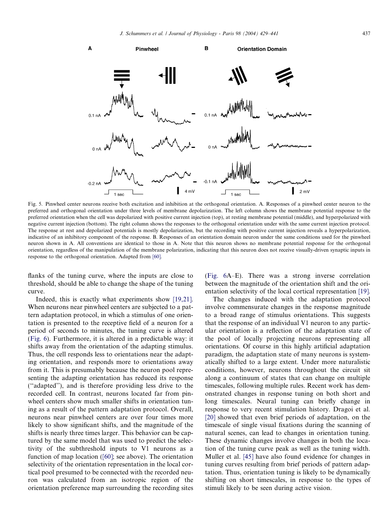<span id="page-8-0"></span>

1 sec

Fig. 5. Pinwheel center neurons receive both excitation and inhibition at the orthogonal orientation. A. Responses of a pinwheel center neuron to the preferred and orthogonal orientation under three levels of membrane depolarization. The left column shows the membrane potential response to the preferred orientation when the cell was depolarized with positive current injection (top), at resting membrane potential (middle), and hyperpolarized with negative current injection (bottom). The right column shows the responses to the orthogonal orientation under with the same current injection protocol. The response at rest and depolarized potentials is mostly depolarization, but the recording with positive current injection reveals a hyperpolarization, indicative of an inhibitory component of the response. B. Responses of an orientation domain neuron under the same conditions used for the pinwheel neuron shown in A. All conventions are identical to those in A. Note that this neuron shows no membrane potential response for the orthogonal orientation, regardless of the manipulation of the membrane polarization, indicating that this neuron does not receive visually-driven synaptic inputs in response to the orthogonal orientation. Adapted from [\[60\].](#page-12-0)

 $4 mV$ 

flanks of the tuning curve, where the inputs are close to threshold, should be able to change the shape of the tuning curve.

 $1$  sec

A

Indeed, this is exactly what experiments show [\[19,21\].](#page-11-0) When neurons near pinwheel centers are subjected to a pattern adaptation protocol, in which a stimulus of one orientation is presented to the receptive field of a neuron for a period of seconds to minutes, the tuning curve is altered ([Fig. 6](#page-9-0)). Furthermore, it is altered in a predictable way: it shifts away from the orientation of the adapting stimulus. Thus, the cell responds less to orientations near the adapting orientation, and responds more to orientations away from it. This is presumably because the neuron pool representing the adapting orientation has reduced its response (''adapted''), and is therefore providing less drive to the recorded cell. In contrast, neurons located far from pinwheel centers show much smaller shifts in orientation tuning as a result of the pattern adaptation protocol. Overall, neurons near pinwheel centers are over four times more likely to show significant shifts, and the magnitude of the shifts is nearly three times larger. This behavior can be captured by the same model that was used to predict the selectivity of the subthreshold inputs to V1 neurons as a function of map location ([\[60\]](#page-12-0); see above). The orientation selectivity of the orientation representation in the local cortical pool presumed to be connected with the recorded neuron was calculated from an isotropic region of the orientation preference map surrounding the recording sites ([Fig. 6](#page-9-0)A–E). There was a strong inverse correlation between the magnitude of the orientation shift and the orientation selectivity of the local cortical representation [\[19\].](#page-11-0)

 $2 \text{ mV}$ 

The changes induced with the adaptation protocol involve commensurate changes in the response magnitude to a broad range of stimulus orientations. This suggests that the response of an individual V1 neuron to any particular orientation is a reflection of the adaptation state of the pool of locally projecting neurons representing all orientations. Of course in this highly artificial adaptation paradigm, the adaptation state of many neurons is systematically shifted to a large extent. Under more naturalistic conditions, however, neurons throughout the circuit sit along a continuum of states that can change on multiple timescales, following multiple rules. Recent work has demonstrated changes in response tuning on both short and long timescales. Neural tuning can briefly change in response to very recent stimulation history. Dragoi et al. [\[20\]](#page-11-0) showed that even brief periods of adaptation, on the timescale of single visual fixations during the scanning of natural scenes, can lead to changes in orientation tuning. These dynamic changes involve changes in both the location of the tuning curve peak as well as the tuning width. Muller et al. [\[45\]](#page-11-0) have also found evidence for changes in tuning curves resulting from brief periods of pattern adaptation. Thus, orientation tuning is likely to be dynamically shifting on short timescales, in response to the types of stimuli likely to be seen during active vision.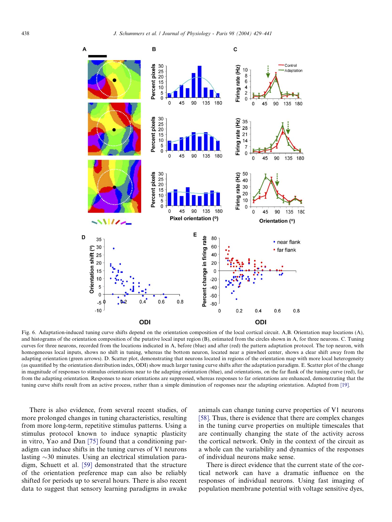<span id="page-9-0"></span>

Fig. 6. Adaptation-induced tuning curve shifts depend on the orientation composition of the local cortical circuit. A,B. Orientation map locations (A), and histograms of the orientation composition of the putative local input region (B), estimated from the circles shown in A, for three neurons. C. Tuning curves for three neurons, recorded from the locations indicated in A, before (blue) and after (red) the pattern adaptation protocol. The top neuron, with homogeneous local inputs, shows no shift in tuning, whereas the bottom neuron, located near a pinwheel center, shows a clear shift away from the adapting orientation (green arrows). D. Scatter plot, demonstrating that neurons located in regions of the orientation map with more local heterogeneity (as quantified by the orientation distribution index, ODI) show much larger tuning curve shifts after the adaptation paradigm. E. Scatter plot of the change in magnitude of responses to stimulus orientations near to the adapting orientation (blue), and orientations, on the far flank of the tuning curve (red), far from the adapting orientation. Responses to near orientations are suppressed, whereas responses to far orientations are enhanced, demonstrating that the tuning curve shifts result from an active process, rather than a simple diminution of responses near the adapting orientation. Adapted from [\[19\]](#page-11-0).

There is also evidence, from several recent studies, of more prolonged changes in tuning characteristics, resulting from more long-term, repetitive stimulus patterns. Using a stimulus protocol known to induce synaptic plasticity in vitro, Yao and Dan [\[75\]](#page-12-0) found that a conditioning paradigm can induce shifts in the tuning curves of V1 neurons lasting  $\sim$ 30 minutes. Using an electrical stimulation paradigm, Schuett et al. [\[59\]](#page-12-0) demonstrated that the structure of the orientation preference map can also be reliably shifted for periods up to several hours. There is also recent data to suggest that sensory learning paradigms in awake

animals can change tuning curve properties of V1 neurons [\[58\]](#page-12-0). Thus, there is evidence that there are complex changes in the tuning curve properties on multiple timescales that are continually changing the state of the activity across the cortical network. Only in the context of the circuit as a whole can the variability and dynamics of the responses of individual neurons make sense.

There is direct evidence that the current state of the cortical network can have a dramatic influence on the responses of individual neurons. Using fast imaging of population membrane potential with voltage sensitive dyes,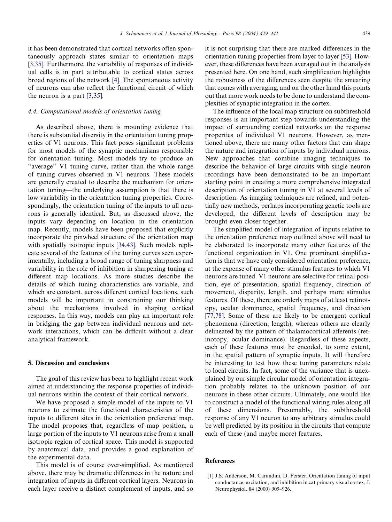<span id="page-10-0"></span>it has been demonstrated that cortical networks often spontaneously approach states similar to orientation maps [\[3,35\].](#page-11-0) Furthermore, the variability of responses of individual cells is in part attributable to cortical states across broad regions of the network [\[4\].](#page-11-0) The spontaneous activity of neurons can also reflect the functional circuit of which the neuron is a part [\[3,35\].](#page-11-0)

## 4.4. Computational models of orientation tuning

As described above, there is mounting evidence that there is substantial diversity in the orientation tuning properties of V1 neurons. This fact poses significant problems for most models of the synaptic mechanisms responsible for orientation tuning. Most models try to produce an "average" V1 tuning curve, rather than the whole range of tuning curves observed in V1 neurons. These models are generally created to describe the mechanism for orientation tuning—the underlying assumption is that there is low variability in the orientation tuning properties. Correspondingly, the orientation tuning of the inputs to all neurons is generally identical. But, as discussed above, the inputs vary depending on location in the orientation map. Recently, models have been proposed that explicitly incorporate the pinwheel structure of the orientation map with spatially isotropic inputs [\[34,43\]](#page-11-0). Such models replicate several of the features of the tuning curves seen experimentally, including a broad range of tuning sharpness and variability in the role of inhibition in sharpening tuning at different map locations. As more studies describe the details of which tuning characteristics are variable, and which are constant, across different cortical locations, such models will be important in constraining our thinking about the mechanisms involved in shaping cortical responses. In this way, models can play an important role in bridging the gap between individual neurons and network interactions, which can be difficult without a clear analytical framework.

#### 5. Discussion and conclusions

The goal of this review has been to highlight recent work aimed at understanding the response properties of individual neurons within the context of their cortical network.

We have proposed a simple model of the inputs to V1 neurons to estimate the functional characteristics of the inputs to different sites in the orientation preference map. The model proposes that, regardless of map position, a large portion of the inputs to V1 neurons arise from a small isotropic region of cortical space. This model is supported by anatomical data, and provides a good explanation of the experimental data.

This model is of course over-simplified. As mentioned above, there may be dramatic differences in the nature and integration of inputs in different cortical layers. Neurons in each layer receive a distinct complement of inputs, and so

it is not surprising that there are marked differences in the orientation tuning properties from layer to layer [\[53\]](#page-12-0). However, these differences have been averaged out in the analysis presented here. On one hand, such simplification highlights the robustness of the differences seen despite the smearing that comes with averaging, and on the other hand this points out that more work needs to be done to understand the complexities of synaptic integration in the cortex.

The influence of the local map structure on subthreshold responses is an important step towards understanding the impact of surrounding cortical networks on the response properties of individual V1 neurons. However, as mentioned above, there are many other factors that can shape the nature and integration of inputs by individual neurons. New approaches that combine imaging techniques to describe the behavior of large circuits with single neuron recordings have been demonstrated to be an important starting point in creating a more comprehensive integrated description of orientation tuning in V1 at several levels of description. As imaging techniques are refined, and potentially new methods, perhaps incorporating genetic tools are developed, the different levels of description may be brought even closer together.

The simplified model of integration of inputs relative to the orientation preference map outlined above will need to be elaborated to incorporate many other features of the functional organization in V1. One prominent simplification is that we have only considered orientation preference, at the expense of many other stimulus features to which V1 neurons are tuned. V1 neurons are selective for retinal position, eye of presentation, spatial frequency, direction of movement, disparity, length, and perhaps more stimulus features. Of these, there are orderly maps of at least retinotopy, ocular dominance, spatial frequency, and direction [\[77,78\].](#page-12-0) Some of these are likely to be emergent cortical phenomena (direction, length), whereas others are clearly delineated by the pattern of thalamocortical afferents (retinotopy, ocular dominance). Regardless of these aspects, each of these features must be encoded, to some extent, in the spatial pattern of synaptic inputs. It will therefore be interesting to test how these tuning parameters relate to local circuits. In fact, some of the variance that is unexplained by our simple circular model of orientation integration probably relates to the unknown position of our neurons in these other circuits. Ultimately, one would like to construct a model of the functional wiring rules along all of these dimensions. Presumably, the subthreshold response of any V1 neuron to any arbitrary stimulus could be well predicted by its position in the circuits that compute each of these (and maybe more) features.

### References

[1] J.S. Anderson, M. Carandini, D. Ferster, Orientation tuning of input conductance, excitation, and inhibition in cat primary visual cortex, J. Neurophysiol. 84 (2000) 909–926.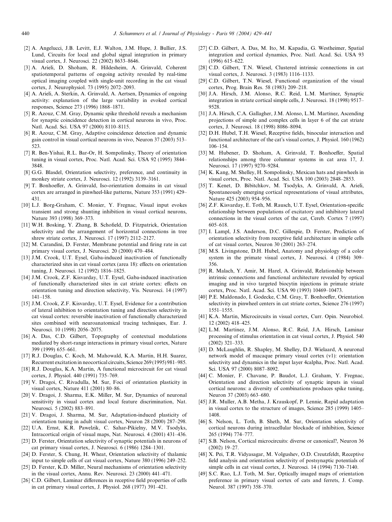- <span id="page-11-0"></span>[2] A. Angelucci, J.B. Levitt, E.J. Walton, J.M. Hupe, J. Bullier, J.S. Lund, Circuits for local and global signal integration in primary visual cortex, J. Neurosci. 22 (2002) 8633–8646.
- [3] A. Arieli, D. Shoham, R. Hildesheim, A. Grinvald, Coherent spatiotemporal patterns of ongoing activity revealed by real-time optical imaging coupled with single-unit recording in the cat visual cortex, J. Neurophysiol. 73 (1995) 2072–2093.
- [4] A. Arieli, A. Sterkin, A. Grinvald, A. Aertsen, Dynamics of ongoing activity: explanation of the large variability in evoked cortical responses, Science 273 (1996) 1868–1871.
- [5] R. Azouz, C.M. Gray, Dynamic spike threshold reveals a mechanism for synaptic coincidence detection in cortical neurons in vivo, Proc. Natl. Acad. Sci. USA 97 (2000) 8110–8115.
- [6] R. Azouz, C.M. Gray, Adaptive coincidence detection and dynamic gain control in visual cortical neurons in vivo, Neuron 37 (2003) 513– 523.
- [7] R. Ben-Yishai, R.L. Bar-Or, H. Sompolinsky, Theory of orientation tuning in visual cortex, Proc. Natl. Acad. Sci. USA 92 (1995) 3844– 3848.
- [8] G.G. Blasdel, Orientation selectivity, preference, and continuity in monkey striate cortex, J. Neurosci. 12 (1992) 3139–3161.
- [9] T. Bonhoeffer, A. Grinvald, Iso-orientation domains in cat visual cortex are arranged in pinwheel-like patterns, Nature 353 (1991) 429– 431.
- [10] L.J. Borg-Graham, C. Monier, Y. Fregnac, Visual input evokes transient and strong shunting inhibition in visual cortical neurons, Nature 393 (1998) 369–373.
- [11] W.H. Bosking, Y. Zhang, B. Schofield, D. Fitzpatrick, Orientation selectivity and the arrangement of horizontal connections in tree shrew striate cortex, J. Neurosci. 17 (1997) 2112–2127.
- [12] M. Carandini, D. Ferster, Membrane potential and firing rate in cat primary visual cortex, J. Neurosci. 20 (2000) 470–484.
- [13] J.M. Crook, U.T. Eysel, Gaba-induced inactivation of functionally characterized sites in cat visual cortex (area 18): effects on orientation tuning, J. Neurosci. 12 (1992) 1816–1825.
- [14] J.M. Crook, Z.F. Kisvarday, U.T. Eysel, Gaba-induced inactivation of functionally characterized sites in cat striate cortex: effects on orientation tuning and direction selectivity, Vis. Neurosci. 14 (1997) 141–158.
- [15] J.M. Crook, Z.F. Kisvarday, U.T. Eysel, Evidence for a contribution of lateral inhibition to orientation tuning and direction selectivity in cat visual cortex: reversible inactivation of functionally characterized sites combined with neuroanatomical tracing techniques, Eur. J. Neurosci. 10 (1998) 2056–2075.
- [16] A. Das, C.D. Gilbert, Topography of contextual modulations mediated by short-range interactions in primary visual cortex, Nature 399 (1999) 655–661.
- [17] R.J. Douglas, C. Koch, M. Mahowald, K.A. Martin, H.H. Suarez, Recurrent excitation in neocortical circuits, Science 269 (1995) 981–985.
- [18] R.J. Douglas, K.A. Martin, A functional microcircuit for cat visual cortex, J. Physiol. 440 (1991) 735–769.
- [19] V. Dragoi, C. Rivadulla, M. Sur, Foci of orientation plasticity in visual cortex, Nature 411 (2001) 80–86.
- [20] V. Dragoi, J. Sharma, E.K. Miller, M. Sur, Dynamics of neuronal sensitivity in visual cortex and local feature discrimination, Nat. Neurosci. 5 (2002) 883–891.
- [21] V. Dragoi, J. Sharma, M. Sur, Adaptation-induced plasticity of orientation tuning in adult visual cortex, Neuron 28 (2000) 287–298.
- [22] U.A. Ernst, K.R. Pawelzik, C. Sahar-Pikielny, M.V. Tsodyks, Intracortical origin of visual maps, Nat. Neurosci. 4 (2001) 431–436.
- [23] D. Ferster, Orientation selectivity of synaptic potentials in neurons of cat primary visual cortex, J. Neurosci. 6 (1986) 1284–1301.
- [24] D. Ferster, S. Chung, H. Wheat, Orientation selectivity of thalamic input to simple cells of cat visual cortex, Nature 380 (1996) 249–252.
- [25] D. Ferster, K.D. Miller, Neural mechanisms of orientation selectivity in the visual cortex, Annu. Rev. Neurosci. 23 (2000) 441–471.
- [26] C.D. Gilbert, Laminar differences in receptive field properties of cells in cat primary visual cortex, J. Physiol. 268 (1977) 391–421.
- [27] C.D. Gilbert, A. Das, M. Ito, M. Kapadia, G. Westheimer, Spatial integration and cortical dynamics, Proc. Natl. Acad. Sci. USA 93 (1996) 615–622.
- [28] C.D. Gilbert, T.N. Wiesel, Clustered intrinsic connections in cat visual cortex, J. Neurosci. 3 (1983) 1116–1133.
- [29] C.D. Gilbert, T.N. Wiesel, Functional organization of the visual cortex, Prog. Brain Res. 58 (1983) 209–218.
- [30] J.A. Hirsch, J.M. Alonso, R.C. Reid, L.M. Martinez, Synaptic integration in striate cortical simple cells, J. Neurosci. 18 (1998) 9517– 9528.
- [31] J.A. Hirsch, C.A. Gallagher, J.M. Alonso, L.M. Martinez, Ascending projections of simple and complex cells in layer 6 of the cat striate cortex, J. Neurosci. 18 (1998) 8086–8094.
- [32] D.H. Hubel, T.H. Wiesel, Receptive fields, binocular interaction and functional architecture of the cat's visual cortex, J. Physiol. 160 (1962) 106–154.
- [33] M. Hubener, D. Shoham, A. Grinvald, T. Bonhoeffer, Spatial relationships among three columnar systems in cat area 17, J. Neurosci. 17 (1997) 9270–9284.
- [34] K. Kang, M. Shelley, H. Sompolinsky, Mexican hats and pinwheels in visual cortex, Proc. Natl. Acad. Sci. USA 100 (2003) 2848–2853.
- [35] T. Kenet, D. Bibitchkov, M. Tsodyks, A. Grinvald, A. Arieli, Spontaneously emerging cortical representations of visual attributes, Nature 425 (2003) 954–956.
- [36] Z.F. Kisvarday, E. Toth, M. Rausch, U.T. Eysel, Orientation-specific relationship between populations of excitatory and inhibitory lateral connections in the visual cortex of the cat, Cereb. Cortex 7 (1997) 605–618.
- [37] I. Lampl, J.S. Anderson, D.C. Gillespie, D. Ferster, Prediction of orientation selectivity from receptive field architecture in simple cells of cat visual cortex, Neuron 30 (2001) 263–274.
- [38] M.S. Livingstone, D.H. Hubel, Anatomy and physiology of a color system in the primate visual cortex, J. Neurosci. 4 (1984) 309– 356.
- [39] R. Malach, Y. Amir, M. Harel, A. Grinvald, Relationship between intrinsic connections and functional architecture revealed by optical imaging and in vivo targeted biocytin injections in primate striate cortex, Proc. Natl. Acad. Sci. USA 90 (1993) 10469–10473.
- [40] P.E. Maldonado, I. Godecke, C.M. Gray, T. Bonhoeffer, Orientation selectivity in pinwheel centers in cat striate cortex, Science 276 (1997) 1551–1555.
- [41] K.A. Martin, Microcircuits in visual cortex, Curr. Opin. Neurobiol. 12 (2002) 418–425.
- [42] L.M. Martinez, J.M. Alonso, R.C. Reid, J.A. Hirsch, Laminar processing of stimulus orientation in cat visual cortex, J. Physiol. 540 (2002) 321–333.
- [43] D. McLaughlin, R. Shapley, M. Shelley, D.J. Wielaard, A neuronal network model of macaque primary visual cortex (v1): orientation selectivity and dynamics in the input layer 4calpha, Proc. Natl. Acad. Sci. USA 97 (2000) 8087–8092.
- [44] C. Monier, F. Chavane, P. Baudot, L.J. Graham, Y. Fregnac, Orientation and direction selectivity of synaptic inputs in visual cortical neurons: a diversity of combinations produces spike tuning, Neuron 37 (2003) 663–680.
- [45] J.R. Muller, A.B. Metha, J. Krauskopf, P. Lennie, Rapid adaptation in visual cortex to the structure of images, Science 285 (1999) 1405– 1408.
- [46] S. Nelson, L. Toth, B. Sheth, M. Sur, Orientation selectivity of cortical neurons during intracellular blockade of inhibition, Science 265 (1994) 774–777.
- [47] S.B. Nelson, Cortical microcircuits: diverse or canonical?, Neuron 36 (2002) 19–27.
- [48] X. Pei, T.R. Vidyasagar, M. Volgushev, O.D. Creutzfeldt, Receptive field analysis and orientation selectivity of postsynaptic potentials of simple cells in cat visual cortex, J. Neurosci. 14 (1994) 7130–7140.
- [49] S.C. Rao, L.J. Toth, M. Sur, Optically imaged maps of orientation preference in primary visual cortex of cats and ferrets, J. Comp. Neurol. 387 (1997) 358–370.